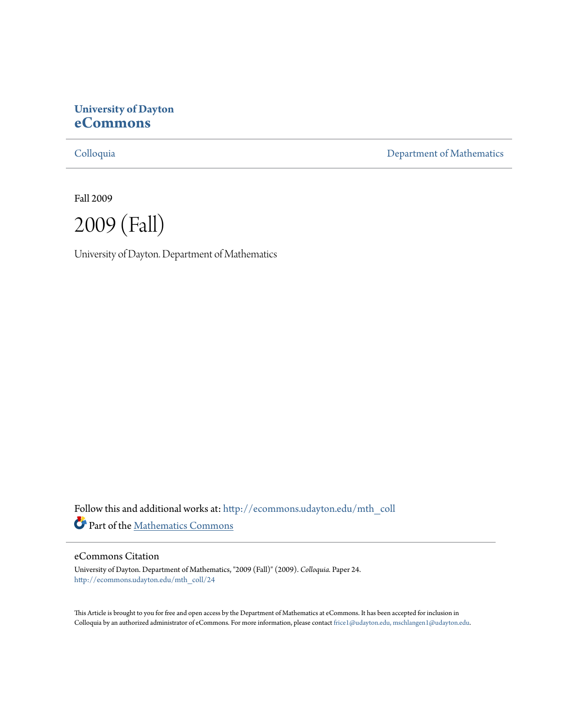# **University of Dayton [eCommons](http://ecommons.udayton.edu?utm_source=ecommons.udayton.edu%2Fmth_coll%2F24&utm_medium=PDF&utm_campaign=PDFCoverPages)**

[Colloquia](http://ecommons.udayton.edu/mth_coll?utm_source=ecommons.udayton.edu%2Fmth_coll%2F24&utm_medium=PDF&utm_campaign=PDFCoverPages) [Department of Mathematics](http://ecommons.udayton.edu/mth?utm_source=ecommons.udayton.edu%2Fmth_coll%2F24&utm_medium=PDF&utm_campaign=PDFCoverPages)

Fall 2009



University of Dayton. Department of Mathematics

Follow this and additional works at: [http://ecommons.udayton.edu/mth\\_coll](http://ecommons.udayton.edu/mth_coll?utm_source=ecommons.udayton.edu%2Fmth_coll%2F24&utm_medium=PDF&utm_campaign=PDFCoverPages) Part of the [Mathematics Commons](http://network.bepress.com/hgg/discipline/174?utm_source=ecommons.udayton.edu%2Fmth_coll%2F24&utm_medium=PDF&utm_campaign=PDFCoverPages)

## eCommons Citation

University of Dayton. Department of Mathematics, "2009 (Fall)" (2009). *Colloquia.* Paper 24. [http://ecommons.udayton.edu/mth\\_coll/24](http://ecommons.udayton.edu/mth_coll/24?utm_source=ecommons.udayton.edu%2Fmth_coll%2F24&utm_medium=PDF&utm_campaign=PDFCoverPages)

This Article is brought to you for free and open access by the Department of Mathematics at eCommons. It has been accepted for inclusion in Colloquia by an authorized administrator of eCommons. For more information, please contact [frice1@udayton.edu, mschlangen1@udayton.edu.](mailto:frice1@udayton.edu,%20mschlangen1@udayton.edu)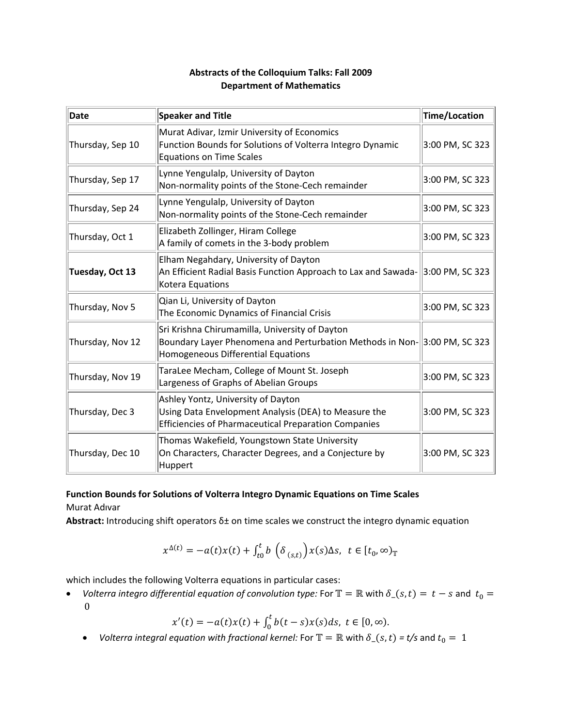# **Abstracts of the Colloquium Talks: Fall 2009 Department of Mathematics**

| Date             | Speaker and Title                                                                                                                                                | Time/Location   |
|------------------|------------------------------------------------------------------------------------------------------------------------------------------------------------------|-----------------|
| Thursday, Sep 10 | Murat Adivar, Izmir University of Economics<br>Function Bounds for Solutions of Volterra Integro Dynamic<br><b>Equations on Time Scales</b>                      | 3:00 PM, SC 323 |
| Thursday, Sep 17 | Lynne Yengulalp, University of Dayton<br>Non-normality points of the Stone-Cech remainder                                                                        | 3:00 PM, SC 323 |
| Thursday, Sep 24 | Lynne Yengulalp, University of Dayton<br>Non-normality points of the Stone-Cech remainder                                                                        | 3:00 PM, SC 323 |
| Thursday, Oct 1  | Elizabeth Zollinger, Hiram College<br>A family of comets in the 3-body problem                                                                                   | 3:00 PM, SC 323 |
| Tuesday, Oct 13  | Elham Negahdary, University of Dayton<br>An Efficient Radial Basis Function Approach to Lax and Sawada- 3:00 PM, SC 323<br>Kotera Equations                      |                 |
| Thursday, Nov 5  | Qian Li, University of Dayton<br>The Economic Dynamics of Financial Crisis                                                                                       | 3:00 PM, SC 323 |
| Thursday, Nov 12 | Sri Krishna Chirumamilla, University of Dayton<br>Boundary Layer Phenomena and Perturbation Methods in Non-3:00 PM, SC 323<br>Homogeneous Differential Equations |                 |
| Thursday, Nov 19 | TaraLee Mecham, College of Mount St. Joseph<br>Largeness of Graphs of Abelian Groups                                                                             | 3:00 PM, SC 323 |
| Thursday, Dec 3  | Ashley Yontz, University of Dayton<br>Using Data Envelopment Analysis (DEA) to Measure the<br><b>Efficiencies of Pharmaceutical Preparation Companies</b>        | 3:00 PM, SC 323 |
| Thursday, Dec 10 | Thomas Wakefield, Youngstown State University<br>On Characters, Character Degrees, and a Conjecture by<br>Huppert                                                | 3:00 PM, SC 323 |

# **Function Bounds for Solutions of Volterra Integro Dynamic Equations on Time Scales**

Murat Adıvar

**Abstract:** Introducing shift operators δ± on time scales we construct the integro dynamic equation

$$
x^{\Delta(t)} = -a(t)x(t) + \int_{t0}^t b\,\left(\delta_{(s,t)}\right)x(s)\Delta s, \ t \in [t_0,\infty)_\mathbb{T}
$$

which includes the following Volterra equations in particular cases:

• *Volterra integro differential equation of convolution type:* For  $\mathbb{T} = \mathbb{R}$  with  $\delta_-(s,t) = t - s$  and  $t_0 =$  0 

 $x'(t) = -a(t)x(t) + \int_0^t b(t-s)x(s)ds, t \in [0, \infty).$ 

• *Volterra integral equation with fractional kernel:* For  $\mathbb{T} = \mathbb{R}$  with  $\delta_-(s,t) = t/s$  and  $t_0 = 1$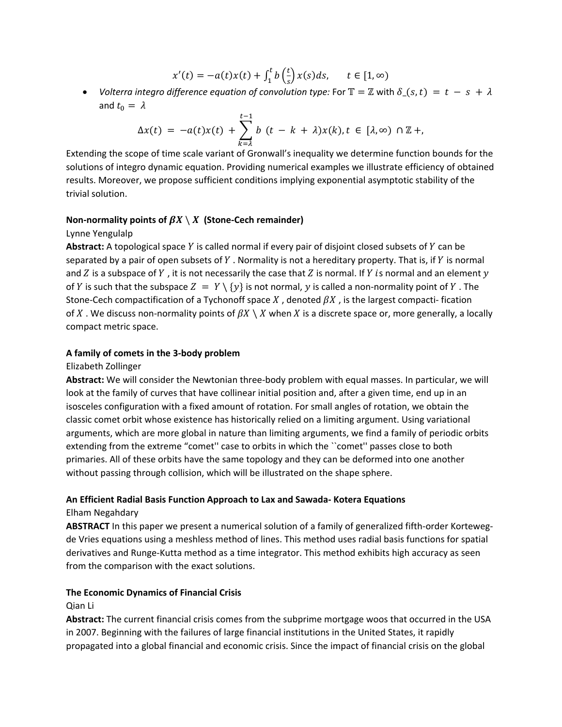$$
x'(t) = -a(t)x(t) + \int_1^t b\left(\frac{t}{s}\right)x(s)ds, \quad t \in [1, \infty)
$$

• Volterra integro difference equation of convolution type: For  $\mathbb{T} = \mathbb{Z}$  with  $\delta$   $(s, t) = t - s + \lambda$ and  $t_0 = \lambda$ 

$$
\Delta x(t) = -a(t)x(t) + \sum_{k=1}^{t-1} b(t - k + \lambda)x(k), t \in [\lambda, \infty) \cap \mathbb{Z} +
$$

Extending the scope of time scale variant of Gronwall's inequality we determine function bounds for the solutions of integro dynamic equation. Providing numerical examples we illustrate efficiency of obtained results. Moreover, we propose sufficient conditions implying exponential asymptotic stability of the trivial solution.

#### **Non-normality points of**  $\beta X \setminus X$  **(Stone-Cech remainder)**

#### Lynne Yengulalp

Abstract: A topological space Y is called normal if every pair of disjoint closed subsets of Y can be separated by a pair of open subsets of Y. Normality is not a hereditary property. That is, if Y is normal and Z is a subspace of Y, it is not necessarily the case that Z is normal. If Y is normal and an element  $\gamma$ of Y is such that the subspace  $Z = Y \setminus \{y\}$  is not normal, y is called a non-normality point of Y. The Stone‐Cech compactification of a Tychonoff space  $X$ , denoted  $\beta X$ , is the largest compacti‐ fication of X. We discuss non-normality points of  $\beta X \setminus X$  when X is a discrete space or, more generally, a locally compact metric space.

#### **A family of comets in the 3‐body problem**

Elizabeth Zollinger

**Abstract:** We will consider the Newtonian three‐body problem with equal masses. In particular, we will look at the family of curves that have collinear initial position and, after a given time, end up in an isosceles configuration with a fixed amount of rotation. For small angles of rotation, we obtain the classic comet orbit whose existence has historically relied on a limiting argument. Using variational arguments, which are more global in nature than limiting arguments, we find a family of periodic orbits extending from the extreme "comet'' case to orbits in which the ``comet'' passes close to both primaries. All of these orbits have the same topology and they can be deformed into one another without passing through collision, which will be illustrated on the shape sphere.

## **An Efficient Radial Basis Function Approach to Lax and Sawada‐ Kotera Equations**

## Elham Negahdary

**ABSTRACT** In this paper we present a numerical solution of a family of generalized fifth‐order Korteweg‐ de Vries equations using a meshless method of lines. This method uses radial basis functions for spatial derivatives and Runge‐Kutta method as a time integrator. This method exhibits high accuracy as seen from the comparison with the exact solutions.

## **The Economic Dynamics of Financial Crisis**

#### Qian Li

**Abstract:** The current financial crisis comes from the subprime mortgage woos that occurred in the USA in 2007. Beginning with the failures of large financial institutions in the United States, it rapidly propagated into a global financial and economic crisis. Since the impact of financial crisis on the global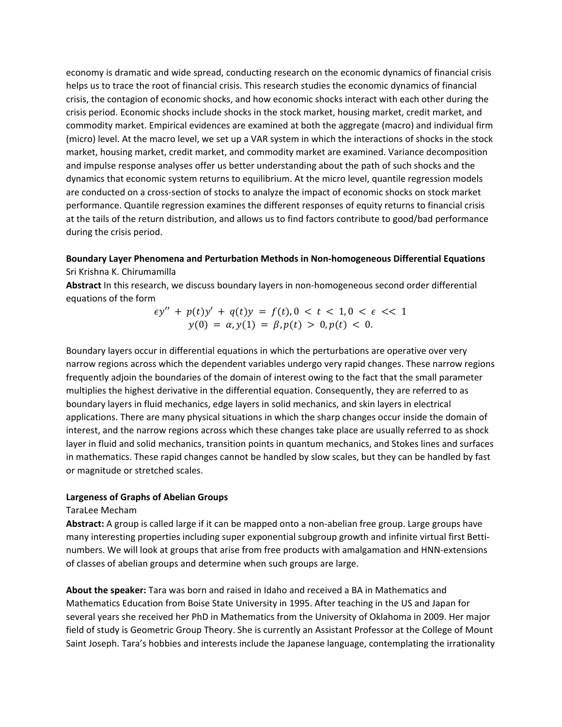economy is dramatic and wide spread, conducting research on the economic dynamics of financial crisis helps us to trace the root of financial crisis. This research studies the economic dynamics of financial crisis, the contagion of economic shocks, and how economic shocks interact with each other during the crisis period. Economic shocks include shocks in the stock market, housing market, credit market, and commodity market. Empirical evidences are examined at both the aggregate (macro) and individual firm (micro) level. At the macro level, we set up a VAR system in which the interactions of shocks in the stock market, housing market, credit market, and commodity market are examined. Variance decomposition and impulse response analyses offer us better understanding about the path of such shocks and the dynamics that economic system returns to equilibrium. At the micro level, quantile regression models are conducted on a cross-section of stocks to analyze the impact of economic shocks on stock market performance. Quantile regression examines the different responses of equity returns to financial crisis at the tails of the return distribution, and allows us to find factors contribute to good/bad performance during the crisis period.

## **Boundary Layer Phenomena and Perturbation Methods in Non‐homogeneous Differential Equations** Sri Krishna K. Chirumamilla

**Abstract** In this research, we discuss boundary layers in non‐homogeneous second order differential equations of the form

$$
\epsilon y'' + p(t)y' + q(t)y = f(t), 0 < t < 1, 0 < \epsilon < 1
$$
\n
$$
y(0) = \alpha, y(1) = \beta, p(t) > 0, p(t) < 0.
$$

Boundary layers occur in differential equations in which the perturbations are operative over very narrow regions across which the dependent variables undergo very rapid changes. These narrow regions frequently adjoin the boundaries of the domain of interest owing to the fact that the small parameter multiplies the highest derivative in the differential equation. Consequently, they are referred to as boundary layers in fluid mechanics, edge layers in solid mechanics, and skin layers in electrical applications. There are many physical situations in which the sharp changes occur inside the domain of interest, and the narrow regions across which these changes take place are usually referred to as shock layer in fluid and solid mechanics, transition points in quantum mechanics, and Stokes lines and surfaces in mathematics. These rapid changes cannot be handled by slow scales, but they can be handled by fast or magnitude or stretched scales.

## **Largeness of Graphs of Abelian Groups**

TaraLee Mecham

**Abstract:** A group is called large if it can be mapped onto a non‐abelian free group. Large groups have many interesting properties including super exponential subgroup growth and infinite virtual first Bettinumbers. We will look at groups that arise from free products with amalgamation and HNN‐extensions of classes of abelian groups and determine when such groups are large.

**About the speaker:** Tara was born and raised in Idaho and received a BA in Mathematics and Mathematics Education from Boise State University in 1995. After teaching in the US and Japan for several years she received her PhD in Mathematics from the University of Oklahoma in 2009. Her major field of study is Geometric Group Theory. She is currently an Assistant Professor at the College of Mount Saint Joseph. Tara's hobbies and interests include the Japanese language, contemplating the irrationality